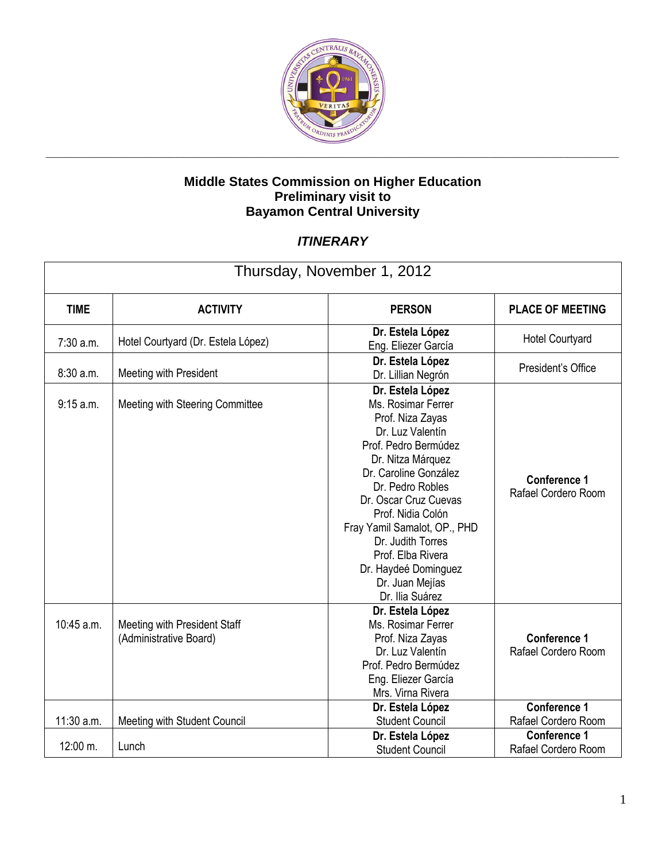

| Thursday, November 1, 2012 |                                                        |                                                                                                                                                                                                                                                                                                                                                                |                                            |  |  |
|----------------------------|--------------------------------------------------------|----------------------------------------------------------------------------------------------------------------------------------------------------------------------------------------------------------------------------------------------------------------------------------------------------------------------------------------------------------------|--------------------------------------------|--|--|
| <b>TIME</b>                | <b>ACTIVITY</b>                                        | <b>PERSON</b>                                                                                                                                                                                                                                                                                                                                                  | <b>PLACE OF MEETING</b>                    |  |  |
| 7:30 a.m.                  | Hotel Courtyard (Dr. Estela López)                     | Dr. Estela López<br>Eng. Eliezer García                                                                                                                                                                                                                                                                                                                        | <b>Hotel Courtyard</b>                     |  |  |
| 8:30 a.m.                  | Meeting with President                                 | Dr. Estela López<br>Dr. Lillian Negrón                                                                                                                                                                                                                                                                                                                         | President's Office                         |  |  |
| 9:15 a.m.                  | Meeting with Steering Committee                        | Dr. Estela López<br>Ms. Rosimar Ferrer<br>Prof. Niza Zayas<br>Dr. Luz Valentín<br>Prof. Pedro Bermúdez<br>Dr. Nitza Márquez<br>Dr. Caroline González<br>Dr. Pedro Robles<br>Dr. Oscar Cruz Cuevas<br>Prof. Nidia Colón<br>Fray Yamil Samalot, OP., PHD<br>Dr. Judith Torres<br>Prof. Elba Rivera<br>Dr. Haydeé Dominguez<br>Dr. Juan Mejías<br>Dr. Ilia Suárez | <b>Conference 1</b><br>Rafael Cordero Room |  |  |
| 10:45 a.m.                 | Meeting with President Staff<br>(Administrative Board) | Dr. Estela López<br>Ms. Rosimar Ferrer<br>Prof. Niza Zayas<br>Dr. Luz Valentín<br>Prof. Pedro Bermúdez<br>Eng. Eliezer García<br>Mrs. Virna Rivera                                                                                                                                                                                                             | <b>Conference 1</b><br>Rafael Cordero Room |  |  |
| 11:30 a.m.                 | Meeting with Student Council                           | Dr. Estela López<br><b>Student Council</b>                                                                                                                                                                                                                                                                                                                     | <b>Conference 1</b><br>Rafael Cordero Room |  |  |
| 12:00 m.                   | Lunch                                                  | Dr. Estela López<br><b>Student Council</b>                                                                                                                                                                                                                                                                                                                     | <b>Conference 1</b><br>Rafael Cordero Room |  |  |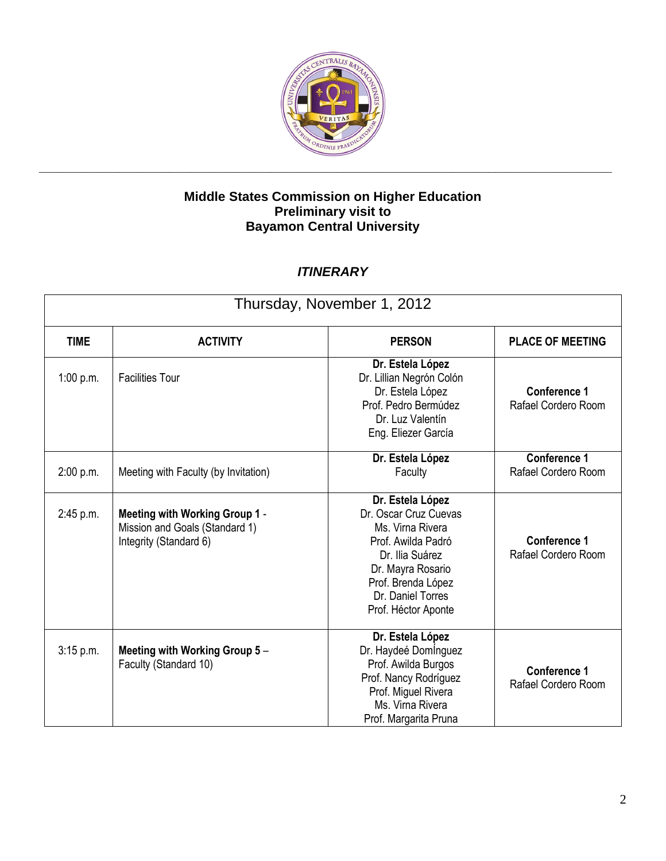

| Thursday, November 1, 2012 |                                                                                            |                                                                                                                                                                                               |                                            |  |  |
|----------------------------|--------------------------------------------------------------------------------------------|-----------------------------------------------------------------------------------------------------------------------------------------------------------------------------------------------|--------------------------------------------|--|--|
| <b>TIME</b>                | <b>ACTIVITY</b>                                                                            | <b>PERSON</b>                                                                                                                                                                                 | <b>PLACE OF MEETING</b>                    |  |  |
| 1:00 p.m.                  | <b>Facilities Tour</b>                                                                     | Dr. Estela López<br>Dr. Lillian Negrón Colón<br>Dr. Estela López<br>Prof. Pedro Bermúdez<br>Dr. Luz Valentín<br>Eng. Eliezer García                                                           | <b>Conference 1</b><br>Rafael Cordero Room |  |  |
| 2:00 p.m.                  | Meeting with Faculty (by Invitation)                                                       | Dr. Estela López<br>Faculty                                                                                                                                                                   | <b>Conference 1</b><br>Rafael Cordero Room |  |  |
| 2:45 p.m.                  | Meeting with Working Group 1 -<br>Mission and Goals (Standard 1)<br>Integrity (Standard 6) | Dr. Estela López<br>Dr. Oscar Cruz Cuevas<br>Ms. Virna Rivera<br>Prof. Awilda Padró<br>Dr. Ilia Suárez<br>Dr. Mayra Rosario<br>Prof. Brenda López<br>Dr. Daniel Torres<br>Prof. Héctor Aponte | <b>Conference 1</b><br>Rafael Cordero Room |  |  |
| $3:15$ p.m.                | Meeting with Working Group 5-<br>Faculty (Standard 10)                                     | Dr. Estela López<br>Dr. Haydeé Dominguez<br>Prof. Awilda Burgos<br>Prof. Nancy Rodríguez<br>Prof. Miguel Rivera<br>Ms. Virna Rivera<br>Prof. Margarita Pruna                                  | <b>Conference 1</b><br>Rafael Cordero Room |  |  |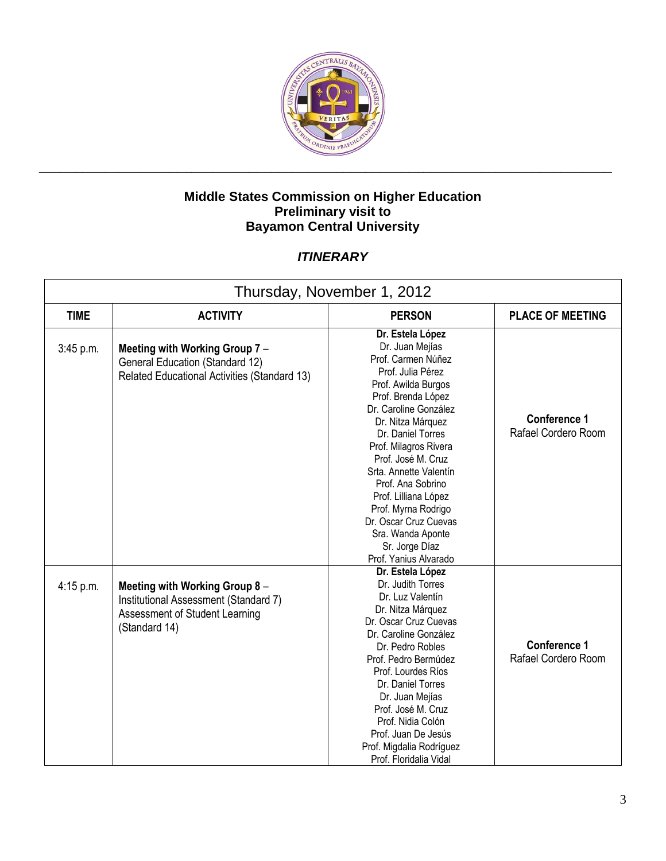

| Thursday, November 1, 2012 |                                                                                                                            |                                                                                                                                                                                                                                                                                                                                                                                                                                      |                                            |  |
|----------------------------|----------------------------------------------------------------------------------------------------------------------------|--------------------------------------------------------------------------------------------------------------------------------------------------------------------------------------------------------------------------------------------------------------------------------------------------------------------------------------------------------------------------------------------------------------------------------------|--------------------------------------------|--|
| <b>TIME</b>                | <b>ACTIVITY</b>                                                                                                            | <b>PERSON</b>                                                                                                                                                                                                                                                                                                                                                                                                                        | <b>PLACE OF MEETING</b>                    |  |
| 3:45 p.m.                  | Meeting with Working Group 7 -<br><b>General Education (Standard 12)</b><br>Related Educational Activities (Standard 13)   | Dr. Estela López<br>Dr. Juan Mejías<br>Prof. Carmen Núñez<br>Prof. Julia Pérez<br>Prof. Awilda Burgos<br>Prof. Brenda López<br>Dr. Caroline González<br>Dr. Nitza Márquez<br>Dr. Daniel Torres<br>Prof. Milagros Rivera<br>Prof. José M. Cruz<br>Srta. Annette Valentín<br>Prof. Ana Sobrino<br>Prof. Lilliana López<br>Prof. Myrna Rodrigo<br>Dr. Oscar Cruz Cuevas<br>Sra. Wanda Aponte<br>Sr. Jorge Díaz<br>Prof. Yanius Alvarado | <b>Conference 1</b><br>Rafael Cordero Room |  |
| $4:15$ p.m.                | Meeting with Working Group 8 -<br>Institutional Assessment (Standard 7)<br>Assessment of Student Learning<br>(Standard 14) | Dr. Estela López<br>Dr. Judith Torres<br>Dr. Luz Valentín<br>Dr. Nitza Márquez<br>Dr. Oscar Cruz Cuevas<br>Dr. Caroline González<br>Dr. Pedro Robles<br>Prof. Pedro Bermúdez<br>Prof. Lourdes Ríos<br>Dr. Daniel Torres<br>Dr. Juan Mejías<br>Prof. José M. Cruz<br>Prof. Nidia Colón<br>Prof. Juan De Jesús<br>Prof. Migdalia Rodríguez<br>Prof. Floridalia Vidal                                                                   | <b>Conference 1</b><br>Rafael Cordero Room |  |